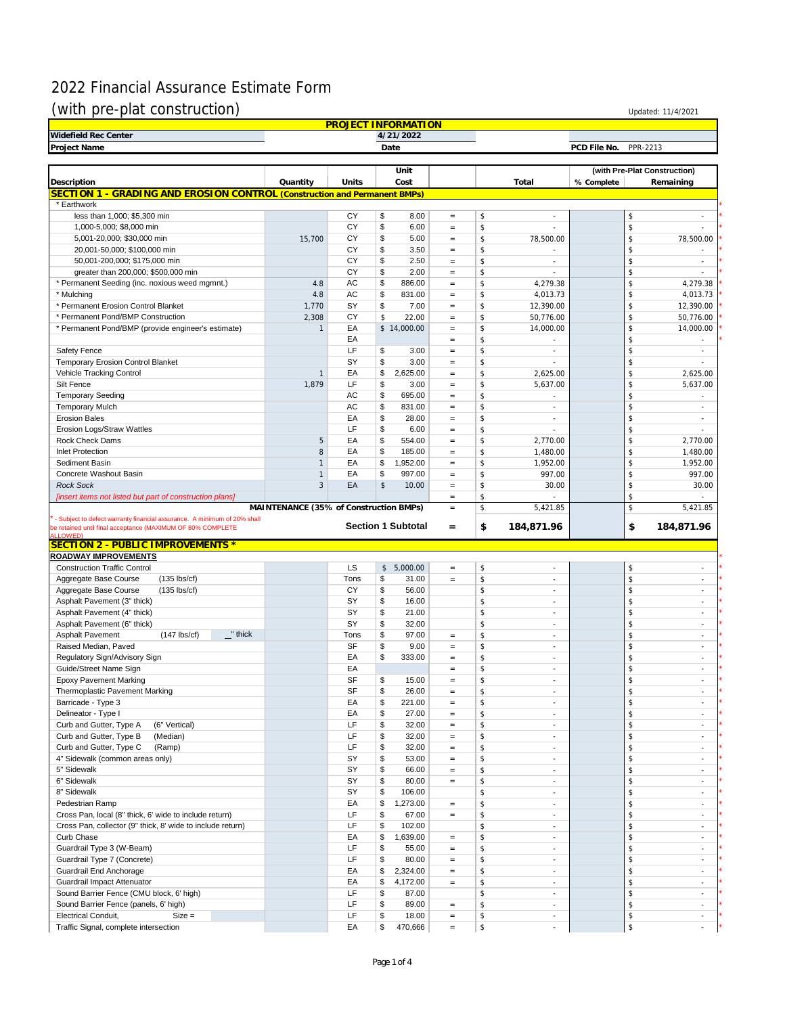## 2022 Financial Assurance Estimate Form

## $(with pre-plat construction)$  Updated: 11/4/2021

| <b>PROJECT INFORMATION</b>                                                  |                                        |          |                              |                                          |                                                |            |                                |  |  |  |
|-----------------------------------------------------------------------------|----------------------------------------|----------|------------------------------|------------------------------------------|------------------------------------------------|------------|--------------------------------|--|--|--|
| Widefield Rec Center<br>4/21/2022                                           |                                        |          |                              |                                          |                                                |            |                                |  |  |  |
| Project Name<br>Date<br>PCD File No.<br>PPR-2213                            |                                        |          |                              |                                          |                                                |            |                                |  |  |  |
|                                                                             |                                        |          |                              |                                          |                                                |            |                                |  |  |  |
|                                                                             |                                        |          | Unit                         |                                          |                                                |            | (with Pre-Plat Construction)   |  |  |  |
| Description                                                                 | Quantity                               | Units    | Cost                         |                                          | Total                                          | % Complete | Remaining                      |  |  |  |
| SECTION 1 - GRADING AND EROSION CONTROL (Construction and Permanent BMPs)   |                                        |          |                              |                                          |                                                |            |                                |  |  |  |
| * Earthwork                                                                 |                                        |          |                              |                                          |                                                |            |                                |  |  |  |
| less than 1,000; \$5,300 min                                                |                                        | CY       | \$<br>8.00                   | $\qquad \qquad =$                        | \$<br>$\sim$                                   |            | \$<br>$\sim$                   |  |  |  |
| 1,000-5,000; \$8,000 min                                                    |                                        | CY       | \$<br>6.00                   | $=$                                      | \$                                             |            | \$                             |  |  |  |
| 5,001-20,000; \$30,000 min                                                  | 15,700                                 | CY       | \$<br>5.00                   | $=$                                      | \$<br>78,500.00                                |            | \$<br>78,500.00                |  |  |  |
| 20,001-50,000; \$100,000 min                                                |                                        | CY       | \$<br>3.50                   | $=$                                      | \$<br>×,                                       |            | \$                             |  |  |  |
| 50,001-200,000; \$175,000 min                                               |                                        | CY       | \$<br>2.50                   | $=$                                      | \$<br>×                                        |            | \$<br>$\sim$                   |  |  |  |
| greater than 200,000; \$500,000 min                                         |                                        | CY       | \$<br>2.00                   | $=$                                      | \$<br>÷.                                       |            | \$<br>×.                       |  |  |  |
| * Permanent Seeding (inc. noxious weed mgmnt.)                              | 4.8                                    | AC       | \$<br>886.00                 | $=$                                      | \$<br>4,279.38                                 |            | \$<br>4,279.38                 |  |  |  |
| * Mulching                                                                  | 4.8                                    | AC       | \$<br>831.00                 | $=$                                      | \$<br>4,013.73                                 |            | \$<br>4,013.73                 |  |  |  |
| * Permanent Erosion Control Blanket                                         | 1,770                                  | SY       | \$<br>7.00                   | $=$                                      | \$<br>12,390.00                                |            | \$<br>12,390.00                |  |  |  |
| * Permanent Pond/BMP Construction                                           | 2,308                                  | CY       | \$<br>22.00                  | $=$                                      | \$<br>50,776.00                                |            | \$<br>50,776.00                |  |  |  |
| * Permanent Pond/BMP (provide engineer's estimate)                          | $\mathbf{1}$                           | EA       | \$14,000.00                  | $=$                                      | \$<br>14,000.00                                |            | \$<br>14,000.00                |  |  |  |
|                                                                             |                                        | EA       |                              | $\hspace{1.6cm} = \hspace{1.6cm}$        | \$<br>$\sim$                                   |            | \$<br>$\sim$                   |  |  |  |
| Safety Fence                                                                |                                        | LF       | \$<br>3.00                   | $=$                                      | \$<br>٠                                        |            | \$<br>$\sim$                   |  |  |  |
| Temporary Erosion Control Blanket                                           |                                        | SY       | \$<br>3.00                   | $=$                                      | \$                                             |            | \$                             |  |  |  |
| Vehicle Tracking Control                                                    | $\mathbf{1}$                           | EA       | \$<br>2,625.00               | $=$                                      | \$<br>2,625.00                                 |            | \$<br>2,625.00                 |  |  |  |
| Silt Fence                                                                  | 1,879                                  | LF       | \$<br>3.00                   | $=$                                      | \$<br>5,637.00                                 |            | \$<br>5,637.00                 |  |  |  |
| <b>Temporary Seeding</b>                                                    |                                        | AC       | \$<br>695.00                 | $=$                                      | \$<br>$\overline{\phantom{a}}$                 |            | \$                             |  |  |  |
| <b>Temporary Mulch</b>                                                      |                                        | AC       | \$<br>831.00                 | $=$                                      | \$<br>×                                        |            | \$<br>×.                       |  |  |  |
| <b>Erosion Bales</b>                                                        |                                        | EA       | \$<br>28.00                  | $\qquad \qquad =$                        | \$<br>٠                                        |            | \$<br>٠                        |  |  |  |
| <b>Erosion Logs/Straw Wattles</b>                                           |                                        | LF       | \$<br>6.00                   | $=$                                      | \$<br>÷.                                       |            | \$<br>÷                        |  |  |  |
| <b>Rock Check Dams</b>                                                      | 5                                      | EA       | \$<br>554.00                 | $=$                                      | \$<br>2.770.00                                 |            | \$<br>2,770.00                 |  |  |  |
| <b>Inlet Protection</b>                                                     | 8                                      | EA       | \$<br>185.00                 | $=$                                      | \$<br>1,480.00                                 |            | \$<br>1,480.00                 |  |  |  |
| Sediment Basin                                                              | $\mathbf{1}$                           | EA       | \$<br>1,952.00               | $=$                                      | \$<br>1,952.00                                 |            | \$<br>1,952.00                 |  |  |  |
| Concrete Washout Basin                                                      | $\mathbf{1}$                           | EA       | \$<br>997.00                 | $\hspace{1.6cm} = \hspace{1.6cm}$        | 997.00<br>\$                                   |            | \$<br>997.00                   |  |  |  |
| <b>Rock Sock</b>                                                            | 3                                      | EA       | \$<br>10.00                  | $\hspace{1.6cm} = \hspace{1.6cm}$        | \$<br>30.00                                    |            | \$<br>30.00                    |  |  |  |
| [insert items not listed but part of construction plans]                    | MAINTENANCE (35% of Construction BMPs) |          |                              | $=$<br>$=$                               | \$<br>\$<br>5,421.85                           |            | \$<br>\$<br>5,421.85           |  |  |  |
| <b>ALLOWED</b><br>SECTION 2 - PUBLIC IMPROVEMENTS *<br>ROADWAY IMPROVEMENTS |                                        |          |                              |                                          |                                                |            |                                |  |  |  |
| <b>Construction Traffic Control</b>                                         |                                        | LS       | \$5,000.00                   | $=$                                      | \$<br>×                                        |            | \$<br>×,                       |  |  |  |
| Aggregate Base Course<br>$(135$ lbs/cf)                                     |                                        | Tons     | \$<br>31.00                  | $=$                                      | \$<br>$\sim$                                   |            | \$<br>×,                       |  |  |  |
| Aggregate Base Course<br>$(135$ lbs/cf)                                     |                                        | CY       | \$<br>56.00                  |                                          | \$<br>×,                                       |            | \$<br>ä,                       |  |  |  |
| Asphalt Pavement (3" thick)                                                 |                                        | SY       | \$<br>16.00                  |                                          | \$<br>$\sim$                                   |            | \$<br>×,                       |  |  |  |
| Asphalt Pavement (4" thick)                                                 |                                        | SY       | \$<br>21.00                  |                                          | \$<br>$\sim$                                   |            | \$<br>$\sim$                   |  |  |  |
| Asphalt Pavement (6" thick)                                                 |                                        | SY       | \$<br>32.00                  |                                          | \$<br>÷.                                       |            | \$<br>$\sim$                   |  |  |  |
| Asphalt Pavement<br>$(147$ lbs/cf)<br>$\mathbf{r}$ " thick                  |                                        | Tons     | \$<br>97.00                  | $\qquad \qquad =$                        | \$<br>$\sim$                                   |            | \$<br>$\sim$                   |  |  |  |
| Raised Median, Paved                                                        |                                        | SF       | \$<br>9.00                   | $\qquad \qquad =$                        | \$<br>$\sim$                                   |            | \$<br>×.                       |  |  |  |
| Regulatory Sign/Advisory Sign                                               |                                        | EA       | \$<br>333.00                 | $=$                                      | \$<br>٠                                        |            | \$<br>٠                        |  |  |  |
| Guide/Street Name Sign                                                      |                                        | EA       |                              | $=$                                      | \$<br>$\sim$                                   |            | \$<br>ä,                       |  |  |  |
| <b>Epoxy Pavement Marking</b>                                               |                                        | SF       | \$<br>15.00                  | $=$                                      | \$<br>×                                        |            | \$<br>÷.                       |  |  |  |
| Thermoplastic Pavement Marking                                              |                                        | SF       | \$<br>26.00                  |                                          | \$                                             |            |                                |  |  |  |
| Barricade - Type 3                                                          |                                        | EA       | \$<br>221.00                 | $=$                                      | \$<br>٠                                        |            | \$<br>$\sim$                   |  |  |  |
| Delineator - Type I                                                         |                                        | EA       | \$<br>27.00                  | $\qquad \qquad =$                        | \$<br>٠                                        |            | \$<br>$\sim$                   |  |  |  |
| Curb and Gutter, Type A<br>(6" Vertical)                                    |                                        | LF       | \$<br>32.00                  | $=$                                      | \$<br>٠                                        |            | \$<br>$\sim$                   |  |  |  |
| Curb and Gutter, Type B<br>(Median)                                         |                                        | LF       | \$<br>32.00                  | $=$                                      | \$<br>$\overline{\phantom{a}}$                 |            | \$<br>$\overline{\phantom{a}}$ |  |  |  |
| Curb and Gutter, Type C<br>(Ramp)                                           |                                        | LF       | \$<br>32.00                  | $=$                                      | \$<br>٠                                        |            | \$<br>$\overline{\phantom{a}}$ |  |  |  |
| 4" Sidewalk (common areas only)                                             |                                        | SY       | \$<br>53.00                  | $\hspace{1.6cm} = \hspace{1.6cm}$        | \$<br>$\overline{\phantom{a}}$                 |            | \$<br>$\sim$                   |  |  |  |
| 5" Sidewalk                                                                 |                                        | SY       | \$<br>66.00                  | $\quad =$                                | \$<br>٠                                        |            | \$<br>$\sim$                   |  |  |  |
| 6" Sidewalk                                                                 |                                        | SY       | \$<br>80.00                  | $\hspace{1.6cm} = \hspace{1.6cm}$        | \$<br>٠                                        |            | \$<br>$\sim$                   |  |  |  |
| 8" Sidewalk                                                                 |                                        | SY       | \$<br>106.00                 |                                          | \$<br>٠                                        |            | \$<br>$\overline{\phantom{a}}$ |  |  |  |
| Pedestrian Ramp                                                             |                                        | EA       | \$<br>1,273.00               | $=$                                      | \$<br>$\overline{\phantom{a}}$                 |            | \$<br>$\sim$                   |  |  |  |
| Cross Pan, local (8" thick, 6' wide to include return)                      |                                        | LF       | \$<br>67.00                  | $\quad =$                                | \$<br>$\overline{\phantom{a}}$                 |            | \$<br>$\overline{\phantom{a}}$ |  |  |  |
| Cross Pan, collector (9" thick, 8' wide to include return)                  |                                        | LF       | \$<br>102.00                 |                                          | \$<br>٠                                        |            | \$<br>$\overline{\phantom{a}}$ |  |  |  |
| Curb Chase                                                                  |                                        | EA       | \$<br>1,639.00               | $=$                                      | \$<br>$\sim$                                   |            | \$<br>$\sim$                   |  |  |  |
| Guardrail Type 3 (W-Beam)                                                   |                                        | LF       | \$<br>55.00                  | $\qquad \qquad =$                        | \$<br>٠                                        |            | \$<br>$\sim$                   |  |  |  |
| Guardrail Type 7 (Concrete)                                                 |                                        | LF       | \$<br>80.00                  | $=$                                      | \$<br>٠                                        |            | \$<br>$\sim$                   |  |  |  |
| Guardrail End Anchorage                                                     |                                        | EA       | \$<br>2,324.00               | $=$                                      | \$<br>×.                                       |            | \$<br>×                        |  |  |  |
| Guardrail Impact Attenuator                                                 |                                        | EA       | \$<br>4,172.00               | $=$                                      | \$<br>$\overline{\phantom{a}}$                 |            | \$<br>$\overline{\phantom{a}}$ |  |  |  |
| Sound Barrier Fence (CMU block, 6' high)                                    |                                        |          |                              |                                          |                                                |            |                                |  |  |  |
|                                                                             |                                        | LF       | \$<br>87.00                  |                                          | \$<br>٠                                        |            | \$<br>$\overline{\phantom{a}}$ |  |  |  |
| Sound Barrier Fence (panels, 6' high)                                       |                                        | LF       | \$<br>89.00                  | $=$                                      | \$<br>$\sim$                                   |            | \$<br>$\sim$                   |  |  |  |
| Electrical Conduit,<br>$Size =$<br>Traffic Signal, complete intersection    |                                        | LF<br>EA | \$<br>18.00<br>\$<br>470,666 | $\hspace{1.6cm} = \hspace{1.6cm}$<br>$=$ | \$<br>$\sim$<br>\$<br>$\overline{\phantom{a}}$ |            | \$<br>$\sim$<br>\$<br>ä,       |  |  |  |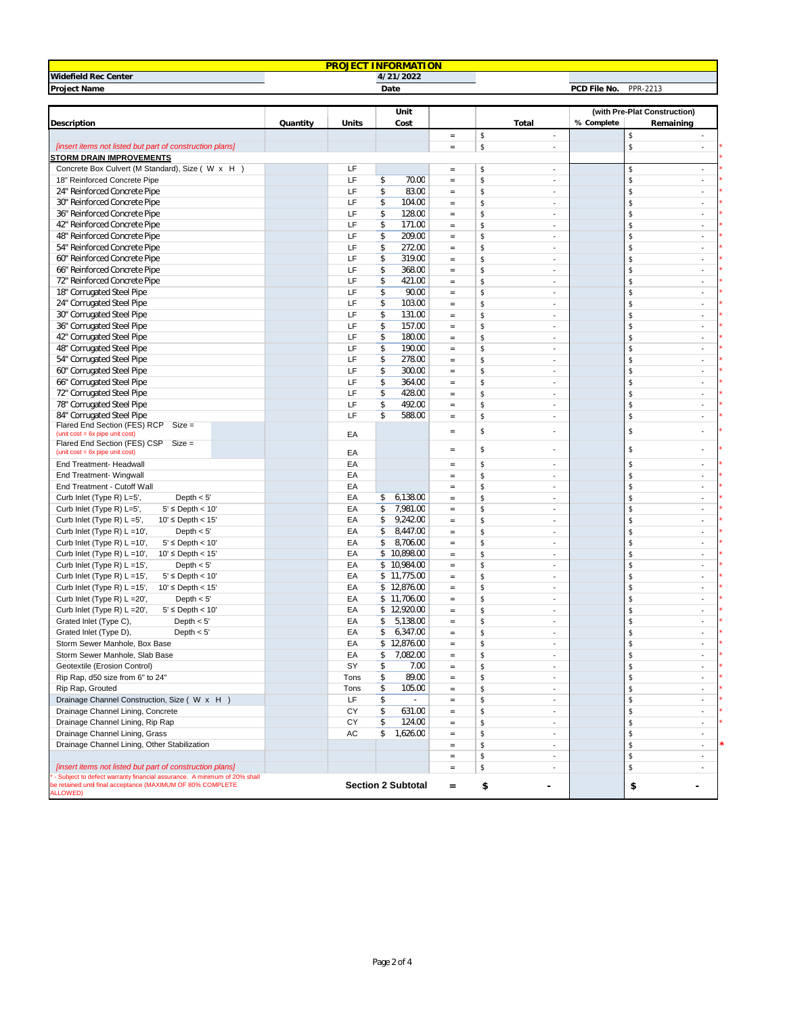| <b>PROJECT INFORMATION</b>                                                                                                             |          |       |                           |                                   |                                |                              |                                |  |  |  |
|----------------------------------------------------------------------------------------------------------------------------------------|----------|-------|---------------------------|-----------------------------------|--------------------------------|------------------------------|--------------------------------|--|--|--|
| Widefield Rec Center<br>4/21/2022                                                                                                      |          |       |                           |                                   |                                |                              |                                |  |  |  |
| Project Name                                                                                                                           |          |       | Date                      |                                   |                                | PCD File No.                 | PPR-2213                       |  |  |  |
|                                                                                                                                        |          |       |                           |                                   |                                |                              |                                |  |  |  |
|                                                                                                                                        |          |       | Unit                      |                                   |                                | (with Pre-Plat Construction) |                                |  |  |  |
| Description                                                                                                                            | Quantity | Units | Cost                      |                                   | Total                          | % Complete                   | Remaining                      |  |  |  |
|                                                                                                                                        |          |       |                           | $\quad = \quad$                   | \$<br>ä,                       |                              | \$                             |  |  |  |
| [insert items not listed but part of construction plans]                                                                               |          |       |                           | $\quad \  \  =$                   | \$<br>÷.                       |                              | \$<br>$\mathcal{L}$            |  |  |  |
| <b>STORM DRAIN IMPROVEMENTS</b>                                                                                                        |          |       |                           |                                   |                                |                              |                                |  |  |  |
| Concrete Box Culvert (M Standard), Size ( W x H )                                                                                      |          | LF    |                           | $\quad =$                         | \$<br>ä,                       |                              | \$<br>$\overline{\phantom{a}}$ |  |  |  |
| 18" Reinforced Concrete Pipe                                                                                                           |          | LF    | \$<br>70.00               | $\hspace{1.6cm} = \hspace{1.6cm}$ | \$<br>٠                        |                              | \$<br>$\sim$                   |  |  |  |
| 24" Reinforced Concrete Pipe                                                                                                           |          | LF    | \$<br>83.00               | $\quad \  \  =$                   | \$<br>٠                        |                              | \$<br>$\sim$                   |  |  |  |
| 30" Reinforced Concrete Pipe                                                                                                           |          | LF    | \$<br>104.00              | $\quad \  \  =$                   | \$<br>٠                        |                              | \$<br>$\sim$                   |  |  |  |
| 36" Reinforced Concrete Pipe                                                                                                           |          | LF    | \$<br>128.00              | $=$                               | \$<br>ä,                       |                              | \$<br>×.                       |  |  |  |
| 42" Reinforced Concrete Pipe                                                                                                           |          | LF    | \$<br>171.00              | $\qquad \qquad =$                 | \$<br>ä,                       |                              | \$<br>$\sim$                   |  |  |  |
| 48" Reinforced Concrete Pipe                                                                                                           |          | LF    | \$<br>209.00              | $\quad \  \  =$                   | \$<br>$\overline{\phantom{a}}$ |                              | \$<br>$\sim$                   |  |  |  |
| 54" Reinforced Concrete Pipe                                                                                                           |          | LF    | \$<br>272.00              | $\quad \  \  =$                   | \$<br>×,                       |                              | \$<br>$\overline{\phantom{a}}$ |  |  |  |
| 60" Reinforced Concrete Pipe                                                                                                           |          | LF    | \$<br>319.00              | $\equiv$                          | \$<br>$\overline{\phantom{a}}$ |                              | \$<br>$\sim$                   |  |  |  |
| 66" Reinforced Concrete Pipe                                                                                                           |          | LF    | \$<br>368.00              | $\equiv$                          | \$<br>٠                        |                              | \$<br>$\sim$                   |  |  |  |
| 72" Reinforced Concrete Pipe                                                                                                           |          | LF    | \$<br>421.00              | $\equiv$                          | \$<br>ä,                       |                              | \$<br>$\sim$                   |  |  |  |
| 18" Corrugated Steel Pipe                                                                                                              |          | LF    | \$<br>90.00               | $\quad =$                         | \$<br>ä,                       |                              | \$<br>$\overline{\phantom{a}}$ |  |  |  |
| 24" Corrugated Steel Pipe                                                                                                              |          | LF    | \$<br>103.00              | $\quad \  \  =$                   | \$<br>÷,                       |                              | \$<br>$\overline{\phantom{a}}$ |  |  |  |
| 30" Corrugated Steel Pipe                                                                                                              |          | LF    | \$<br>131.00              | $\quad \  \  =$                   | \$<br>÷.                       |                              | \$<br>$\overline{\phantom{a}}$ |  |  |  |
| 36" Corrugated Steel Pipe                                                                                                              |          | LF    | $\overline{\$}$<br>157.00 | $\quad \  \  =$                   | \$<br>٠                        |                              | \$<br>×.                       |  |  |  |
| 42" Corrugated Steel Pipe                                                                                                              |          | LF    | \$<br>180.00              | $\quad \  \  =$                   | \$<br>٠                        |                              | \$<br>$\sim$                   |  |  |  |
| 48" Corrugated Steel Pipe                                                                                                              |          | LF    | \$<br>190.00              | $\equiv$                          | \$<br>ä,                       |                              | \$<br>×.                       |  |  |  |
| 54" Corrugated Steel Pipe                                                                                                              |          | LF    | \$<br>278.00              | $\equiv$                          | \$<br>ä,                       |                              | \$<br>$\sim$                   |  |  |  |
| 60" Corrugated Steel Pipe                                                                                                              |          | LF    | \$<br>300.00              | $\equiv$                          | \$<br>ä,                       |                              | \$<br>×                        |  |  |  |
| 66" Corrugated Steel Pipe                                                                                                              |          | LF    | \$<br>364.00              | $\quad \  \  =$                   | \$<br>$\overline{\phantom{a}}$ |                              | \$<br>$\sim$                   |  |  |  |
| 72" Corrugated Steel Pipe                                                                                                              |          | LF    | \$<br>428.00              | $\quad =$                         | \$<br>٠                        |                              | \$<br>$\sim$                   |  |  |  |
| 78" Corrugated Steel Pipe                                                                                                              |          | LF    | $\overline{\$}$<br>492.00 | $\equiv$                          | \$<br>$\overline{\phantom{a}}$ |                              | \$<br>$\sim$                   |  |  |  |
| 84" Corrugated Steel Pipe<br>Flared End Section (FES) RCP<br>$Size =$                                                                  |          | LF    | \$<br>588.00              | $\equiv$                          | \$<br>٠                        |                              | \$<br>$\sim$                   |  |  |  |
| (unit $cost = 6x$ pipe unit $cost$ )                                                                                                   |          | EA    |                           | $\equiv$                          | \$<br>٠                        |                              | \$                             |  |  |  |
| Flared End Section (FES) CSP Size =                                                                                                    |          |       |                           |                                   |                                |                              |                                |  |  |  |
| (unit cost = 6x pipe unit cost)                                                                                                        |          | EA    |                           | $\hspace{1.6cm} = \hspace{1.6cm}$ | \$<br>÷.                       |                              | \$<br>$\sim$                   |  |  |  |
| End Treatment- Headwall                                                                                                                |          | EA    |                           | $\quad = \quad$                   | \$<br>٠                        |                              | \$<br>$\sim$                   |  |  |  |
| End Treatment- Wingwall                                                                                                                |          | EA    |                           | $=$                               | \$<br>ä,                       |                              | \$<br>$\sim$                   |  |  |  |
| End Treatment - Cutoff Wall                                                                                                            |          | EA    |                           | $=$                               | \$<br>ä,                       |                              | \$<br>$\sim$                   |  |  |  |
| Curb Inlet (Type R) L=5',<br>Depth $< 5'$                                                                                              |          | EA    | 6,138.00<br>\$            | $\quad =$                         | \$<br>ä,                       |                              | \$<br>$\sim$                   |  |  |  |
| Curb Inlet (Type R) L=5',<br>$5' \leq$ Depth < 10'                                                                                     |          | EA    | \$<br>7,981.00            | $\quad =$                         | \$<br>×,                       |                              | \$<br>$\overline{\phantom{a}}$ |  |  |  |
| Curb Inlet (Type R) L =5',<br>$10' \leq$ Depth < 15'                                                                                   |          | ЕA    | \$<br>9,242.00            | $\equiv$                          | \$<br>$\overline{\phantom{a}}$ |                              | \$<br>$\sim$                   |  |  |  |
| Curb Inlet (Type R) L =10',<br>Depth $< 5'$                                                                                            |          | EA    | \$<br>8,447.00            | $\quad =$                         | \$<br>٠                        |                              | \$<br>$\sim$                   |  |  |  |
| Curb Inlet (Type R) $L = 10'$ ,<br>$5' \leq$ Depth < 10'                                                                               |          | EA    | \$<br>8,706.00            | $\equiv$                          | \$<br>ä,                       |                              | \$<br>$\sim$                   |  |  |  |
| Curb Inlet (Type R) L =10',<br>$10' \leq$ Depth < 15'                                                                                  |          | EA    | \$10,898.00               | $\quad =$                         | \$<br>$\overline{\phantom{a}}$ |                              | \$<br>$\overline{\phantom{a}}$ |  |  |  |
| Curb Inlet (Type R) L =15',<br>Depth $< 5'$                                                                                            |          | EA    | \$10,984.00               | $\quad \  \  =$                   | \$<br>$\sim$                   |                              | \$<br>$\overline{\phantom{a}}$ |  |  |  |
| Curb Inlet (Type R) $L = 15'$ ,<br>$5' \leq$ Depth < 10'                                                                               |          | EA    | \$11,775.00               | $\quad \  \, =$                   | \$<br>÷.                       |                              | \$<br>$\overline{\phantom{a}}$ |  |  |  |
| Curb Inlet (Type R) L =15',<br>$10' \leq$ Depth < $15'$                                                                                |          | EA    | \$12,876.00               | $\quad \  \, =$                   | \$<br>٠                        |                              | \$<br>×.                       |  |  |  |
| Curb Inlet (Type R) L = 20',<br>Depth $< 5'$                                                                                           |          | EA    | \$11,706.00               | $=$                               | \$<br>٠                        |                              | \$<br>$\sim$                   |  |  |  |
| Curb Inlet (Type R) L = 20',<br>$5' \leq$ Depth < 10'                                                                                  |          | EA    | \$12,920.00               | $=$                               | \$<br>ä,                       |                              | \$<br>×.                       |  |  |  |
| Grated Inlet (Type C),<br>Depth $< 5'$                                                                                                 |          | EA    | \$<br>5,138.00            | $\quad \  \, =$                   | \$<br>$\overline{\phantom{a}}$ |                              | \$<br>$\sim$                   |  |  |  |
| Grated Inlet (Type D),<br>Depth $< 5'$                                                                                                 |          | EA    | \$6,347.00                | $=$                               | \$                             |                              |                                |  |  |  |
| Storm Sewer Manhole, Box Base                                                                                                          |          | EA    | \$12,876.00               | $\equiv$                          | \$<br>ä,                       |                              | \$                             |  |  |  |
| Storm Sewer Manhole, Slab Base                                                                                                         |          | EA    | \$7,082.00                | $\quad =$                         | \$<br>٠                        |                              | \$<br>$\sim$                   |  |  |  |
| Geotextile (Erosion Control)                                                                                                           |          | SY    | \$<br>7.00                | $\quad =$                         | \$<br>$\overline{\phantom{a}}$ |                              | \$<br>$\sim$                   |  |  |  |
| Rip Rap, d50 size from 6" to 24"                                                                                                       |          | Tons  | \$<br>89.00               | $\quad =$                         | \$<br>×.                       |                              | \$<br>$\sim$                   |  |  |  |
| Rip Rap, Grouted                                                                                                                       |          | Tons  | \$<br>105.00              | $\equiv$                          | \$<br>$\overline{\phantom{a}}$ |                              | \$<br>$\overline{\phantom{a}}$ |  |  |  |
| Drainage Channel Construction, Size (W x H)                                                                                            |          | LF.   | \$<br>$\blacksquare$      | $=$                               | \$<br>$\overline{\phantom{a}}$ |                              | \$<br>$\overline{\phantom{a}}$ |  |  |  |
| Drainage Channel Lining, Concrete                                                                                                      |          | CY    | \$<br>631.00              | $\quad \  \, =$                   | \$<br>ä,                       |                              | \$<br>÷,                       |  |  |  |
| Drainage Channel Lining, Rip Rap                                                                                                       |          | CY    | \$<br>124.00              | $\quad =$                         | \$<br>$\overline{\phantom{a}}$ |                              | \$<br>$\overline{\phantom{a}}$ |  |  |  |
| Drainage Channel Lining, Grass                                                                                                         |          | AC    | \$<br>1,626.00            | $\equiv$                          | \$<br>$\overline{\phantom{a}}$ |                              | \$<br>$\sim$                   |  |  |  |
| Drainage Channel Lining, Other Stabilization                                                                                           |          |       |                           | $=$                               | \$<br>٠                        |                              | \$<br>$\sim$                   |  |  |  |
|                                                                                                                                        |          |       |                           | $\equiv$                          | \$<br>÷.                       |                              | \$<br>٠                        |  |  |  |
| [insert items not listed but part of construction plans]                                                                               |          |       |                           | $\quad \  \, =$                   | \$<br>ä,                       |                              | \$                             |  |  |  |
| - Subject to defect warranty financial assurance. A minimum of 20% shall<br>e retained until final acceptance (MAXIMUM OF 80% COMPLETE |          |       | <b>Section 2 Subtotal</b> | $\qquad \qquad =$                 | \$                             |                              | \$                             |  |  |  |
| <b>ALLOWED)</b>                                                                                                                        |          |       |                           |                                   |                                |                              |                                |  |  |  |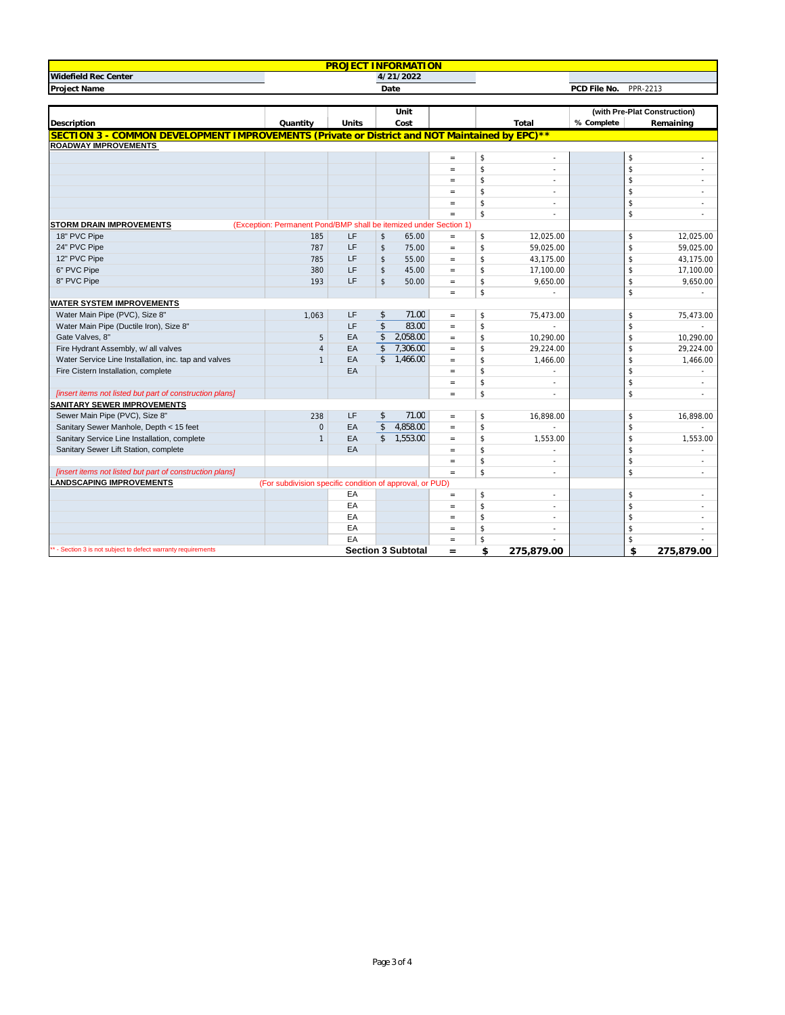|                                                                                                |                                                                   | <b>PROJECT INFORMATION</b> |                         |                           |                                   |                |            |                          |    |                              |
|------------------------------------------------------------------------------------------------|-------------------------------------------------------------------|----------------------------|-------------------------|---------------------------|-----------------------------------|----------------|------------|--------------------------|----|------------------------------|
| Widefield Rec Center                                                                           | 4/21/2022                                                         |                            |                         |                           |                                   |                |            |                          |    |                              |
| Project Name                                                                                   | Date                                                              |                            |                         |                           |                                   |                |            | PCD File No.<br>PPR-2213 |    |                              |
|                                                                                                |                                                                   |                            |                         |                           |                                   |                |            |                          |    |                              |
|                                                                                                |                                                                   |                            |                         | Unit                      |                                   |                |            |                          |    | (with Pre-Plat Construction) |
| Description                                                                                    | Quantity                                                          | Units                      |                         | Cost                      |                                   |                | Total      | % Complete               |    | Remaining                    |
| SECTION 3 - COMMON DEVELOPMENT IMPROVEMENTS (Private or District and NOT Maintained by EPC) ** |                                                                   |                            |                         |                           |                                   |                |            |                          |    |                              |
| <b>ROADWAY IMPROVEMENTS</b>                                                                    |                                                                   |                            |                         |                           |                                   |                |            |                          |    |                              |
|                                                                                                |                                                                   |                            |                         |                           | $\quad \  \, =$                   | \$             | $\sim$     |                          | \$ |                              |
|                                                                                                |                                                                   |                            |                         |                           | $\equiv$                          | \$             | ×          |                          | \$ |                              |
|                                                                                                |                                                                   |                            |                         |                           | $\qquad \qquad =$                 | \$             | $\sim$     |                          | \$ |                              |
|                                                                                                |                                                                   |                            |                         |                           | $=$                               | \$             | $\sim$     |                          | \$ | $\sim$                       |
|                                                                                                |                                                                   |                            |                         |                           | $\equiv$                          | \$             | ×.         |                          | \$ |                              |
|                                                                                                |                                                                   |                            |                         |                           | $=$                               | \$             | $\sim$     |                          | \$ | $\sim$                       |
| <b>STORM DRAIN IMPROVEMENTS</b>                                                                | (Exception: Permanent Pond/BMP shall be itemized under Section 1) |                            |                         |                           |                                   |                |            |                          |    |                              |
| 18" PVC Pipe                                                                                   | 185                                                               | LF                         | \$                      | 65.00                     | $\qquad \qquad =$                 | \$             | 12,025.00  |                          | \$ | 12,025.00                    |
| 24" PVC Pipe                                                                                   | 787                                                               | LF                         | \$                      | 75.00                     | $\qquad \qquad =$                 | \$             | 59,025.00  |                          | \$ | 59,025.00                    |
| 12" PVC Pipe                                                                                   | 785                                                               | LF                         | \$                      | 55.00                     | $=$                               | \$             | 43,175.00  |                          | \$ | 43,175.00                    |
| 6" PVC Pipe                                                                                    | 380                                                               | LF                         | \$                      | 45.00                     | $\equiv$                          | \$             | 17,100.00  |                          | \$ | 17,100.00                    |
| 8" PVC Pipe                                                                                    | 193                                                               | LF                         | \$                      | 50.00                     | $=$                               | \$             | 9,650.00   |                          | \$ | 9,650.00                     |
|                                                                                                |                                                                   |                            |                         |                           | $=$                               | \$             |            |                          | \$ |                              |
| <b>WATER SYSTEM IMPROVEMENTS</b>                                                               |                                                                   |                            |                         |                           |                                   |                |            |                          |    |                              |
| Water Main Pipe (PVC), Size 8"                                                                 | 1.063                                                             | LF                         | \$                      | 71.00                     | $=$                               | \$             | 75,473.00  |                          | \$ | 75,473.00                    |
| Water Main Pipe (Ductile Iron), Size 8"                                                        |                                                                   | LF                         | $\overline{\mathsf{s}}$ | 83.00                     | $\quad =$                         | \$             |            |                          | \$ |                              |
| Gate Valves, 8"                                                                                | 5                                                                 | EA                         | \$                      | 2,058.00                  | $\equiv$                          | \$             | 10,290.00  |                          | \$ | 10,290.00                    |
| Fire Hydrant Assembly, w/ all valves                                                           | $\overline{4}$                                                    | EA                         | $\mathbf{\hat{s}}$      | 7,306.00                  | $\equiv$                          | $$\mathbb{S}$$ | 29,224.00  |                          | \$ | 29,224.00                    |
| Water Service Line Installation, inc. tap and valves                                           | $\mathbf{1}$                                                      | EA                         | \$                      | 1.466.00                  | $\quad =$                         | \$             | 1,466.00   |                          | \$ | 1,466.00                     |
| Fire Cistern Installation, complete                                                            |                                                                   | EA                         |                         |                           | $\equiv$                          | \$             | ×          |                          | \$ | ×.                           |
|                                                                                                |                                                                   |                            |                         |                           | $\qquad \qquad =$                 | \$             | $\sim$     |                          | \$ |                              |
| [insert items not listed but part of construction plans]                                       |                                                                   |                            |                         |                           | $\quad \  \  =$                   | \$             | $\sim$     |                          | \$ | $\sim$                       |
| <b>SANITARY SEWER IMPROVEMENTS</b>                                                             |                                                                   |                            |                         |                           |                                   |                |            |                          |    |                              |
| Sewer Main Pipe (PVC), Size 8"                                                                 | 238                                                               | LF                         | \$                      | 71.00                     | $=$                               | \$             | 16,898.00  |                          | \$ | 16,898.00                    |
| Sanitary Sewer Manhole, Depth < 15 feet                                                        | $\mathbf 0$                                                       | EA                         | \$                      | 4,858.00                  | $\quad \  \  =$                   | \$             |            |                          | \$ |                              |
| Sanitary Service Line Installation, complete                                                   | $\mathbf{1}$                                                      | EA                         | \$                      | 1.553.00                  | $=$                               | \$             | 1,553.00   |                          | \$ | 1,553.00                     |
| Sanitary Sewer Lift Station, complete                                                          |                                                                   | EA                         |                         |                           | $\equiv$                          | \$             |            |                          | \$ |                              |
|                                                                                                |                                                                   |                            |                         |                           | $=$                               | \$             | ÷.         |                          | \$ | $\sim$                       |
| [insert items not listed but part of construction plans]                                       |                                                                   |                            |                         |                           | $\equiv$                          | \$             | $\sim$     |                          | \$ | $\sim$                       |
| <b>LANDSCAPING IMPROVEMENTS</b>                                                                | (For subdivision specific condition of approval, or PUD)          |                            |                         |                           |                                   |                |            |                          |    |                              |
|                                                                                                |                                                                   | EA                         |                         |                           | $\hspace{1.6cm} = \hspace{1.6cm}$ | \$             | ×.         |                          | \$ |                              |
|                                                                                                |                                                                   | EA                         |                         |                           | $\qquad \qquad =$                 | \$             | $\sim$     |                          | \$ |                              |
|                                                                                                |                                                                   | EA                         |                         |                           | $=$                               | \$             | $\sim$     |                          | \$ | ×.                           |
|                                                                                                |                                                                   | EA<br>EA                   |                         |                           | $\qquad \qquad =$                 | $\mathsf{\$}$  |            |                          | \$ |                              |
| ** - Section 3 is not subject to defect warranty requirements                                  |                                                                   |                            |                         |                           | $=$                               | \$             |            |                          | \$ |                              |
|                                                                                                |                                                                   |                            |                         | <b>Section 3 Subtotal</b> | $=$                               | \$             | 275,879.00 |                          | \$ | 275,879.00                   |